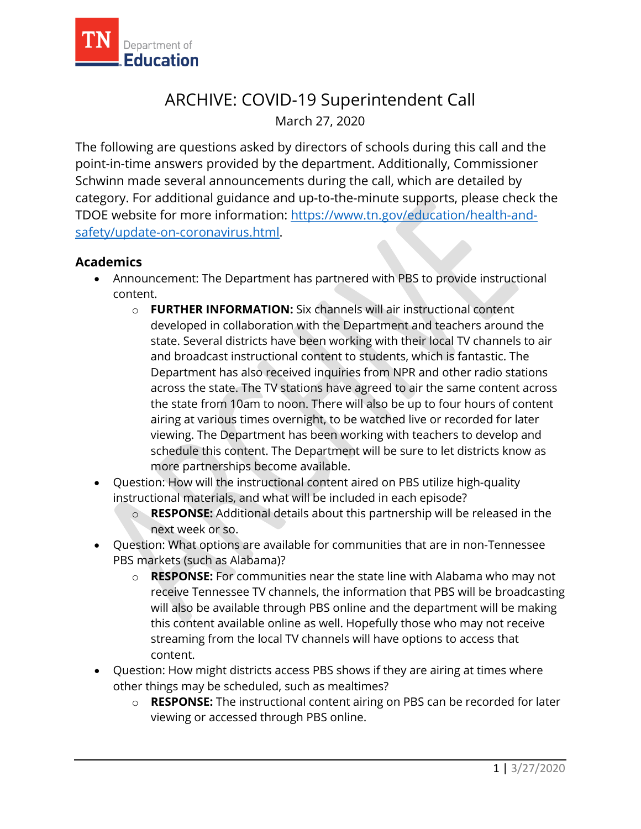

# ARCHIVE: COVID-19 Superintendent Call March 27, 2020

The following are questions asked by directors of schools during this call and the point-in-time answers provided by the department. Additionally, Commissioner Schwinn made several announcements during the call, which are detailed by category. For additional guidance and up-to-the-minute supports, please check the TDOE website for more information: [https://www.tn.gov/education/health-and](https://www.tn.gov/education/health-and-safety/update-on-coronavirus.html)[safety/update-on-coronavirus.html.](https://www.tn.gov/education/health-and-safety/update-on-coronavirus.html)

#### **Academics**

- Announcement: The Department has partnered with PBS to provide instructional content.
	- o **FURTHER INFORMATION:** Six channels will air instructional content developed in collaboration with the Department and teachers around the state. Several districts have been working with their local TV channels to air and broadcast instructional content to students, which is fantastic. The Department has also received inquiries from NPR and other radio stations across the state. The TV stations have agreed to air the same content across the state from 10am to noon. There will also be up to four hours of content airing at various times overnight, to be watched live or recorded for later viewing. The Department has been working with teachers to develop and schedule this content. The Department will be sure to let districts know as more partnerships become available.
- Question: How will the instructional content aired on PBS utilize high-quality instructional materials, and what will be included in each episode?
	- o **RESPONSE:** Additional details about this partnership will be released in the next week or so.
- Question: What options are available for communities that are in non-Tennessee PBS markets (such as Alabama)?
	- o **RESPONSE:** For communities near the state line with Alabama who may not receive Tennessee TV channels, the information that PBS will be broadcasting will also be available through PBS online and the department will be making this content available online as well. Hopefully those who may not receive streaming from the local TV channels will have options to access that content.
- Question: How might districts access PBS shows if they are airing at times where other things may be scheduled, such as mealtimes?
	- o **RESPONSE:** The instructional content airing on PBS can be recorded for later viewing or accessed through PBS online.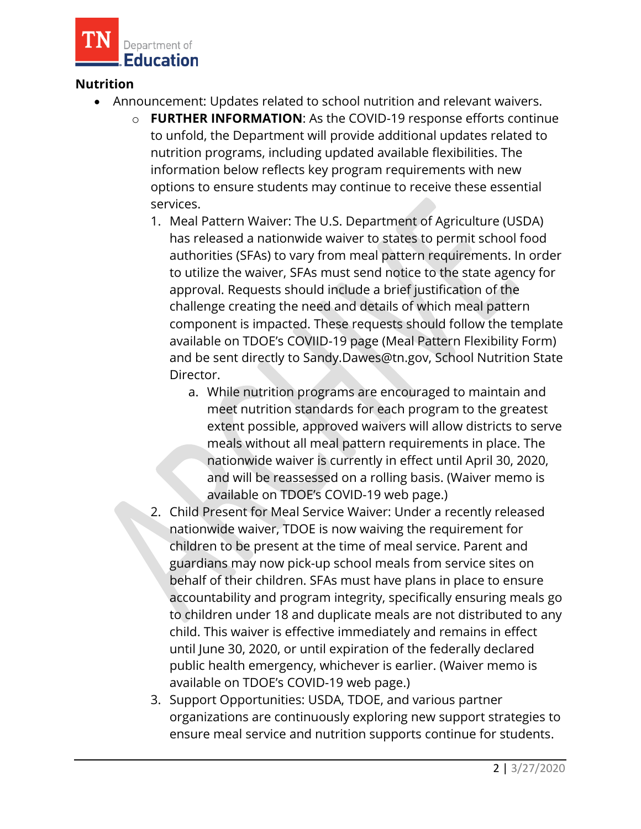

### **Nutrition**

- Announcement: Updates related to school nutrition and relevant waivers.
	- o **FURTHER INFORMATION**: As the COVID-19 response efforts continue to unfold, the Department will provide additional updates related to nutrition programs, including updated available flexibilities. The information below reflects key program requirements with new options to ensure students may continue to receive these essential services.
		- 1. Meal Pattern Waiver: The U.S. Department of Agriculture (USDA) has released a nationwide waiver to states to permit school food authorities (SFAs) to vary from meal pattern requirements. In order to utilize the waiver, SFAs must send notice to the state agency for approval. Requests should include a brief justification of the challenge creating the need and details of which meal pattern component is impacted. These requests should follow the template available on TDOE's COVIID-19 page (Meal Pattern Flexibility Form) and be sent directly to Sandy.Dawes@tn.gov, School Nutrition State Director.
			- a. While nutrition programs are encouraged to maintain and meet nutrition standards for each program to the greatest extent possible, approved waivers will allow districts to serve meals without all meal pattern requirements in place. The nationwide waiver is currently in effect until April 30, 2020, and will be reassessed on a rolling basis. (Waiver memo is available on TDOE's COVID-19 web page.)
		- 2. Child Present for Meal Service Waiver: Under a recently released nationwide waiver, TDOE is now waiving the requirement for children to be present at the time of meal service. Parent and guardians may now pick-up school meals from service sites on behalf of their children. SFAs must have plans in place to ensure accountability and program integrity, specifically ensuring meals go to children under 18 and duplicate meals are not distributed to any child. This waiver is effective immediately and remains in effect until June 30, 2020, or until expiration of the federally declared public health emergency, whichever is earlier. (Waiver memo is available on TDOE's COVID-19 web page.)
		- 3. Support Opportunities: USDA, TDOE, and various partner organizations are continuously exploring new support strategies to ensure meal service and nutrition supports continue for students.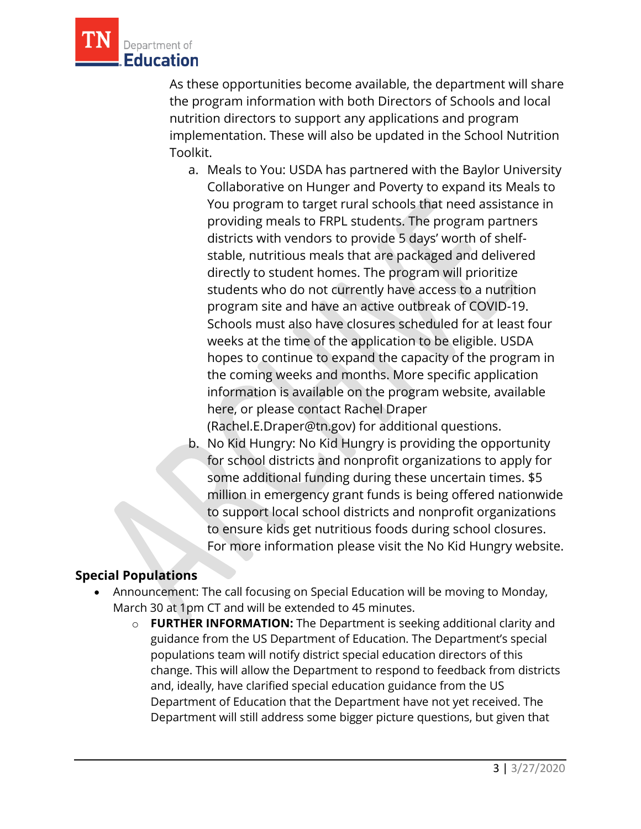

As these opportunities become available, the department will share the program information with both Directors of Schools and local nutrition directors to support any applications and program implementation. These will also be updated in the School Nutrition Toolkit.

a. Meals to You: USDA has partnered with the Baylor University Collaborative on Hunger and Poverty to expand its Meals to You program to target rural schools that need assistance in providing meals to FRPL students. The program partners districts with vendors to provide 5 days' worth of shelfstable, nutritious meals that are packaged and delivered directly to student homes. The program will prioritize students who do not currently have access to a nutrition program site and have an active outbreak of COVID-19. Schools must also have closures scheduled for at least four weeks at the time of the application to be eligible. USDA hopes to continue to expand the capacity of the program in the coming weeks and months. More specific application information is available on the program website, available here, or please contact Rachel Draper

(Rachel.E.Draper@tn.gov) for additional questions.

b. No Kid Hungry: No Kid Hungry is providing the opportunity for school districts and nonprofit organizations to apply for some additional funding during these uncertain times. \$5 million in emergency grant funds is being offered nationwide to support local school districts and nonprofit organizations to ensure kids get nutritious foods during school closures. For more information please visit the No Kid Hungry website.

## **Special Populations**

- Announcement: The call focusing on Special Education will be moving to Monday, March 30 at 1pm CT and will be extended to 45 minutes.
	- o **FURTHER INFORMATION:** The Department is seeking additional clarity and guidance from the US Department of Education. The Department's special populations team will notify district special education directors of this change. This will allow the Department to respond to feedback from districts and, ideally, have clarified special education guidance from the US Department of Education that the Department have not yet received. The Department will still address some bigger picture questions, but given that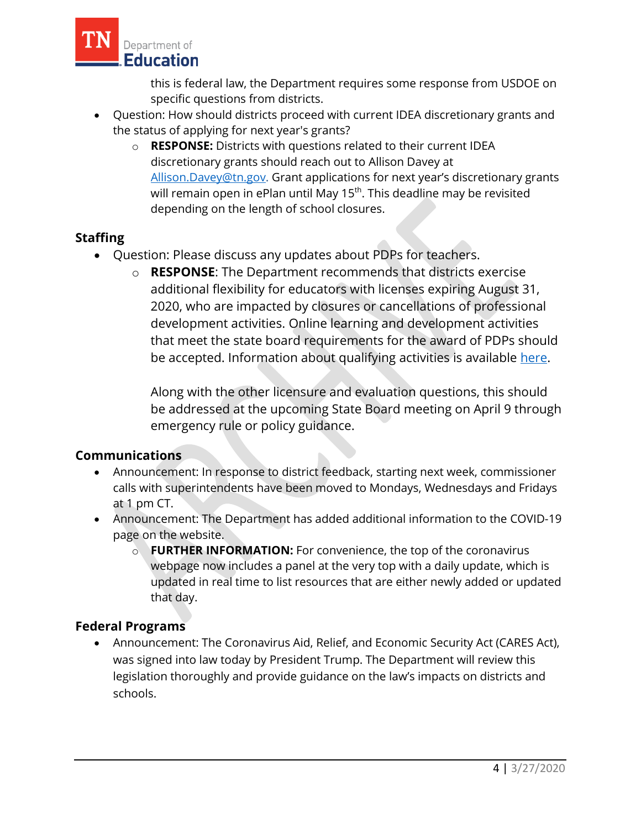

this is federal law, the Department requires some response from USDOE on specific questions from districts.

- Question: How should districts proceed with current IDEA discretionary grants and the status of applying for next year's grants?
	- o **RESPONSE:** Districts with questions related to their current IDEA discretionary grants should reach out to Allison Davey at [Allison.Davey@tn.gov.](mailto:Allison.Davey@tn.gov) Grant applications for next year's discretionary grants will remain open in ePlan until May 15<sup>th</sup>. This deadline may be revisited depending on the length of school closures.

## **Staffing**

- Question: Please discuss any updates about PDPs for teachers.
	- o **RESPONSE**: The Department recommends that districts exercise additional flexibility for educators with licenses expiring August 31, 2020, who are impacted by closures or cancellations of professional development activities. Online learning and development activities that meet the state board requirements for the award of PDPs should be accepted. Information about qualifying activities is available [here.](https://www.tn.gov/content/dam/tn/education/health-&-safety/Educator%20and%20EPP%20Candidate%20COVID%20Guidance%203.25.20.pdf)

Along with the other licensure and evaluation questions, this should be addressed at the upcoming State Board meeting on April 9 through emergency rule or policy guidance.

# **Communications**

- Announcement: In response to district feedback, starting next week, commissioner calls with superintendents have been moved to Mondays, Wednesdays and Fridays at 1 pm CT.
- Announcement: The Department has added additional information to the COVID-19 page on the website.
	- o **FURTHER INFORMATION:** For convenience, the top of the coronavirus webpage now includes a panel at the very top with a daily update, which is updated in real time to list resources that are either newly added or updated that day.

# **Federal Programs**

• Announcement: The Coronavirus Aid, Relief, and Economic Security Act (CARES Act), was signed into law today by President Trump. The Department will review this legislation thoroughly and provide guidance on the law's impacts on districts and schools.